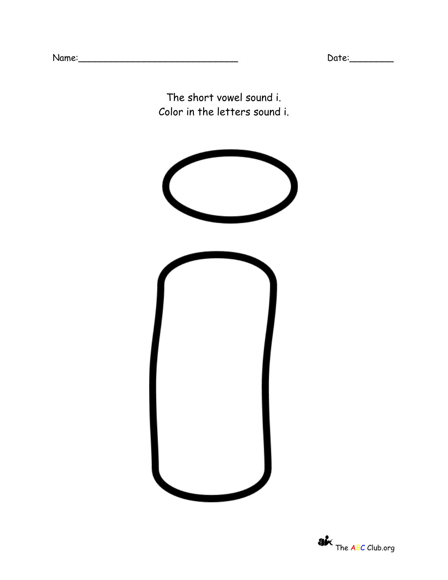The short vowel sound i. Color in the letters sound i.

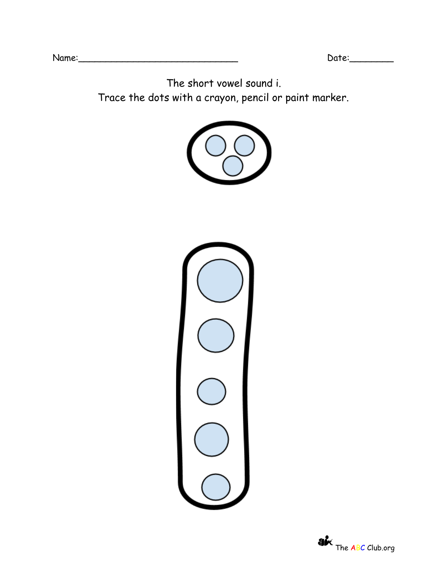The short vowel sound i. Trace the dots with a crayon, pencil or paint marker.





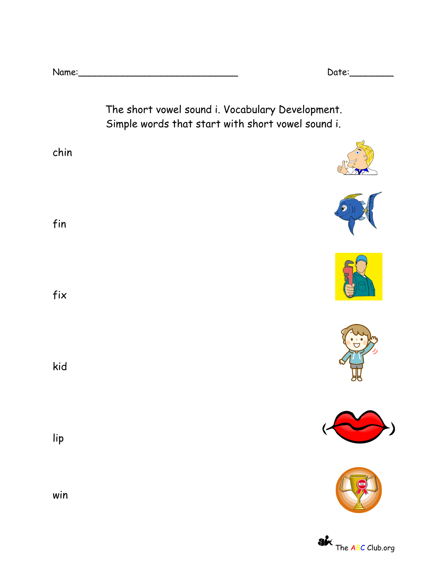| Name: |  |
|-------|--|
|       |  |

 $Date:$ 

The short vowel sound i. Vocabulary Development. Simple words that start with short vowel sound i.















fix kid

chin

fin

lip

win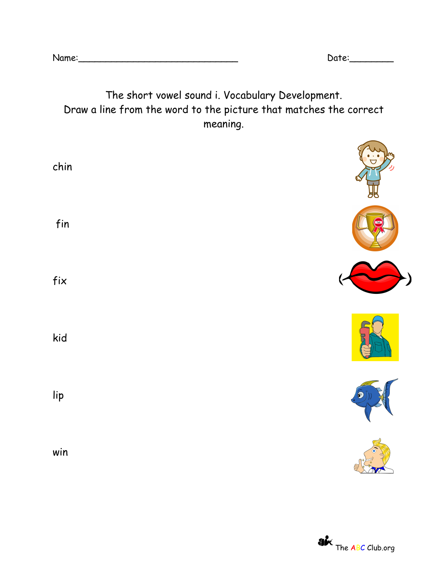| Name: |  |  |  |
|-------|--|--|--|

 $Date:$ 

## The short vowel sound i. Vocabulary Development. Draw a line from the word to the picture that matches the correct meaning.

| chin           | 5<br>5     |
|----------------|------------|
| fin            | <b>ast</b> |
| fix            |            |
| kid            |            |
| $\mathsf{lip}$ | $\bigcirc$ |
| win            |            |

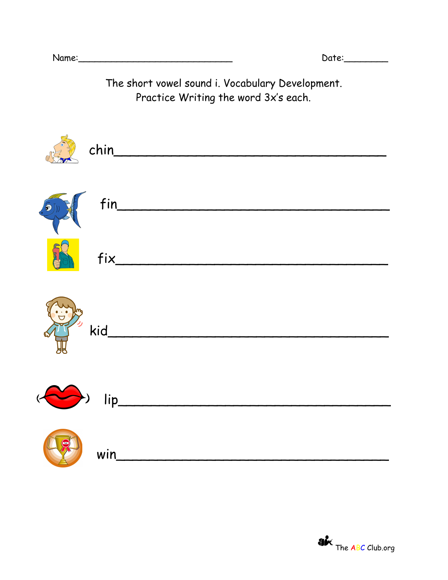The short vowel sound i. Vocabulary Development. Practice Writing the word 3x's each.

|                  | chin                                                                                                                                                                                                                                                                                          |
|------------------|-----------------------------------------------------------------------------------------------------------------------------------------------------------------------------------------------------------------------------------------------------------------------------------------------|
|                  | $\begin{array}{c} \begin{array}{c} \text{S}^{\text{b}} \\ \text{A} \end{array} \end{array}$ fin                                                                                                                                                                                               |
|                  | fix                                                                                                                                                                                                                                                                                           |
|                  | $\frac{1}{2}$ kid $\frac{1}{2}$ kid $\frac{1}{2}$ kid $\frac{1}{2}$ kid $\frac{1}{2}$ kid $\frac{1}{2}$ kid $\frac{1}{2}$ kid $\frac{1}{2}$ kid $\frac{1}{2}$ kid $\frac{1}{2}$ kid $\frac{1}{2}$ kid $\frac{1}{2}$ kid $\frac{1}{2}$ kid $\frac{1}{2}$ kid $\frac{1}{2}$ kid $\frac{1}{2}$ k |
|                  |                                                                                                                                                                                                                                                                                               |
| $(\bullet \circ$ | win                                                                                                                                                                                                                                                                                           |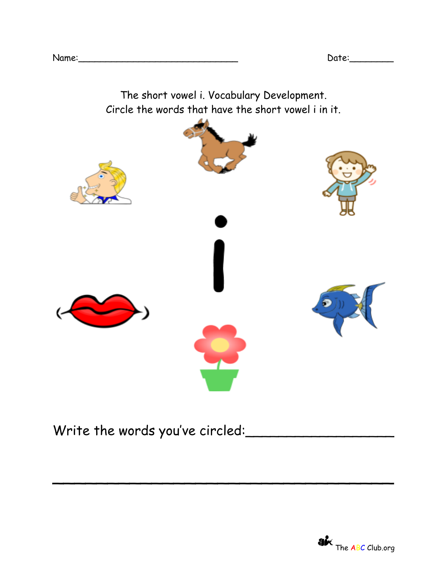

\_\_\_\_\_\_\_\_\_\_\_\_\_\_\_\_\_\_\_\_\_\_\_\_\_\_\_\_\_\_\_

Write the words you've circled: